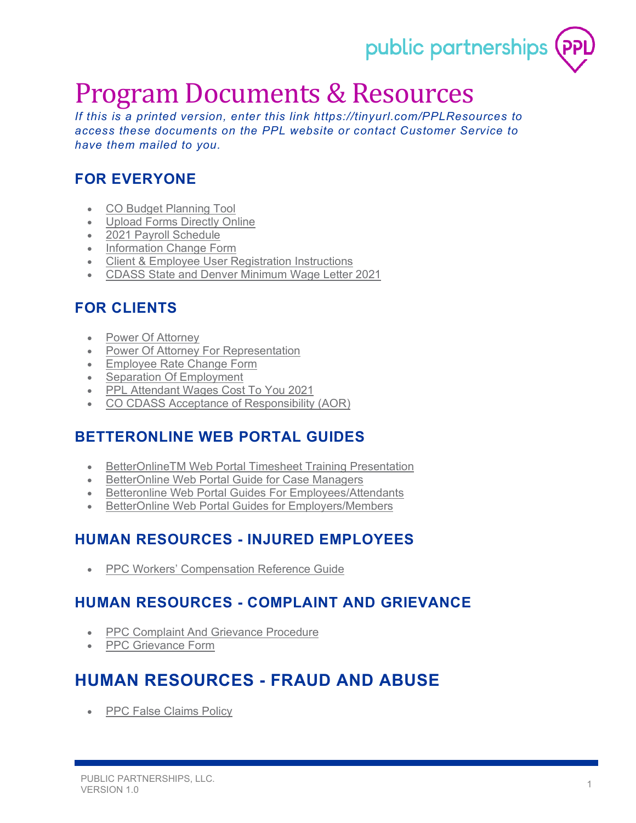

# Program Documents & Resources

*If this is a printed version, enter this link<https://tinyurl.com/PPLResources> to access these documents on the PPL website or contact Customer Service to have them mailed to you.*

# **FOR EVERYONE**

- [CO Budget Planning Tool](https://www.publicpartnerships.com/media/o4wfkoan/co-budget-planning-tool.pdf)
- [Upload Forms Directly Online](https://www.publicpartnerships.com/media/fygng4kp/upload-forms-directly-online.pdf)
- [2021 Payroll Schedule](https://www.publicpartnerships.com/media/gswl24sg/co-cdass-pay-schedule-2021.pdf)
- [Information Change Form](https://www.publicpartnerships.com/media/b3epjqn5/information-change-form.pdf)
- [Client & Employee User Registration Instructions](https://www.publicpartnerships.com/media/rldjzqv5/client-employee-user-registration-instructions.pdf)
- [CDASS State and Denver Minimum Wage Letter 2021](https://www.publicpartnerships.com/media/xwchlbhw/denver-and-co-min-wage-notice-12-22-2020-final.pdf)

## **FOR CLIENTS**

- **[Power Of Attorney](https://www.publicpartnerships.com/media/zxtkhwqt/power-of-attorney.pdf)**
- [Power Of Attorney For Representation](https://www.publicpartnerships.com/media/ryxllhao/power-of-attorney-for-representation.pdf)
- [Employee Rate Change Form](https://www.publicpartnerships.com/media/qmgduzbn/bau-rate-form-fillable.pdf)
- **[Separation Of Employment](https://www.publicpartnerships.com/media/513ctirv/separation-of-employment.pdf)**
- [PPL Attendant Wages Cost To You 2021](https://www.publicpartnerships.com/media/b2fft4z1/ppl-attendant-wages-cost-to-you-2021-final-xlsx_1-12-2021.pdf)
- [CO CDASS Acceptance of Responsibility \(AOR\)](https://www.publicpartnerships.com/media/flvlpsy4/co-cdass-aor.pdf)

## **BETTERONLINE WEB PORTAL GUIDES**

- [BetterOnlineTM Web Portal Timesheet Training Presentation](https://www.publicpartnerships.com/media/scybtpfs/betteronlinetm-web-portal-timesheet-training-presentation.pdf)
- [BetterOnline Web Portal Guide for Case Managers](https://www.publicpartnerships.com/media/qeymnjla/casemanager_co_cdass_betteronline_web_portal_guide_creative_v2.pdf)
- [Betteronline Web Portal Guides For Employees/Attendants](https://www.publicpartnerships.com/media/vp1nxv3k/betteronline-web-portal-guides-for-employeesattendants.pdf)
- [BetterOnline Web Portal Guides for Employers/Members](https://www.publicpartnerships.com/media/izqf0d3v/betteronline-web-portal-guides-for-employers-members.pdf)

## **HUMAN RESOURCES - INJURED EMPLOYEES**

• [PPC Workers' Compensation Reference Guide](https://www.publicpartnerships.com/media/iolnjrt2/co-cdass-workers-compensation-reference-guide.pdf)

#### **HUMAN RESOURCES - COMPLAINT AND GRIEVANCE**

- [PPC Complaint And Grievance Procedure](https://www.publicpartnerships.com/media/eoxpqz4l/ppc-complaint-and-grievance-procedure.pdf)
- [PPC Grievance Form](https://www.publicpartnerships.com/media/ybwhaunq/ppc-grievance-form.pdf)

# **HUMAN RESOURCES - FRAUD AND ABUSE**

• [PPC False Claims Policy](https://www.publicpartnerships.com/media/jwgblw2q/ppc-false-claims-policy.pdf)